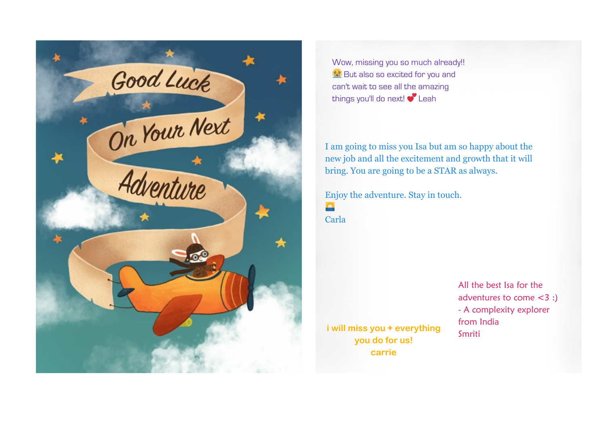

Wow, missing you so much already!! st But also so excited for you and can't wait to see all the amazing things you'll do next! C Leah

I am going to miss you Isa but am so happy about the new job and all the excitement and growth that it will bring. You are going to be a STAR as always.

Enjoy the adventure. Stay in touch. **Type** Carla

**i will miss you + everything you do for us! carrie**

All the best Isa for the adventures to come <3 :) - A complexity explorer from India Smriti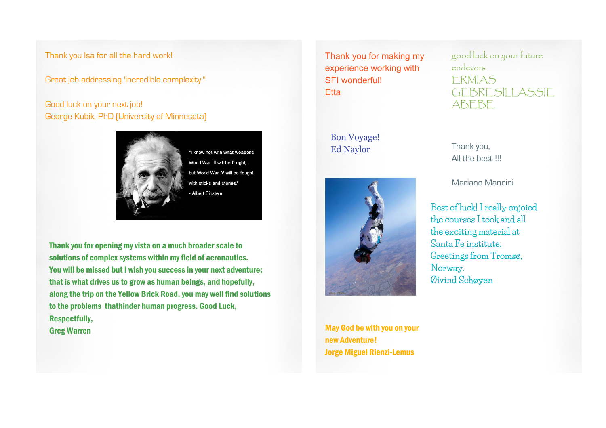Thank you Isa for all the hard work!

Great job addressing 'incredible complexity."

## Good luck on your next job! George Kubik, PhD (University of Minnesota)



"I know not with what weapons World War III will be fought, but World War IV will be fought with sticks and stones."

Thank you for opening my vista on a much broader scale to solutions of complex systems within my field of aeronautics. You will be missed but I wish you success in your next adventure; that is what drives us to grow as human beings, and hopefully, along the trip on the Yellow Brick Road, you may well find solutions to the problems thathinder human progress. Good Luck, Respectfully, Greg Warren May God be with you on your

Thank you for making my experience working with SFI wonderful! **Etta** 

Bon Voyage! Ed Naylor



new Adventure! Jorge Miguel Rienzi-Lemus good luck on your future endevors ERMIAS GEBRESILLASSIE ABEBE

Thank you, All the best !!!

Mariano Mancini

**Best of luck! I really enjoied the courses I took and all the exciting material at Santa Fe institute. Greetings from Tromsø, Norway. Øivind Schøyen**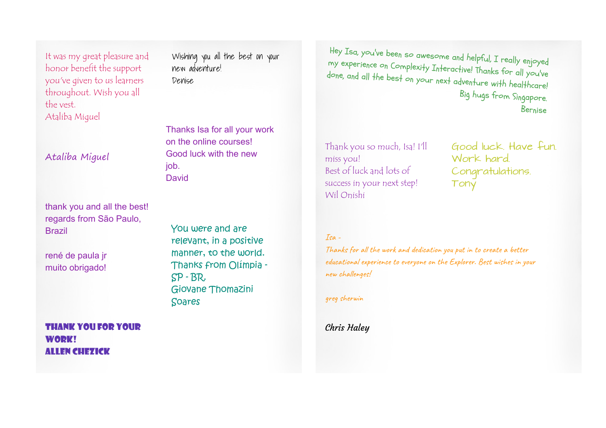It was my great pleasure and honor benefit the support you've given to us learners throughout. Wish you all the vest. Ataliba Miguel

Ataliba Miguel

thank you and all the best! regards from São Paulo, Brazil

rené de paula jr muito obrigado! Wishing you all the best on your new adventure! Denise

Thanks Isa for all your work on the online courses! Good luck with the new job. **David** 

You were and are relevant, in a positive manner, to the world. Thanks from Olímpia - SP - BR. Giovane Thomazini Soares

m He y y expi e I x s a, you've been so awesome and helpful, <sup>I</sup> really enjoyed my experience on Complexity Interactive! Thanks for all you've done, and all the best on your next adventure with healthcare! Big hugs from Singapore. Bernise

Thank you so much, Isa! I'll miss you! Best of luck and lots of success in your next step! Wil Onishi

Good luck. Have fun. Work hard. Congratulations. Tony

## Isa -

Thanks for all the work and dedication you put in to create a better educational experience to everyone on the Explorer. Best wishes in your new challenges!

greg sherwin

Chris Haley

Thank you for your WOD**K!** Allen Chezick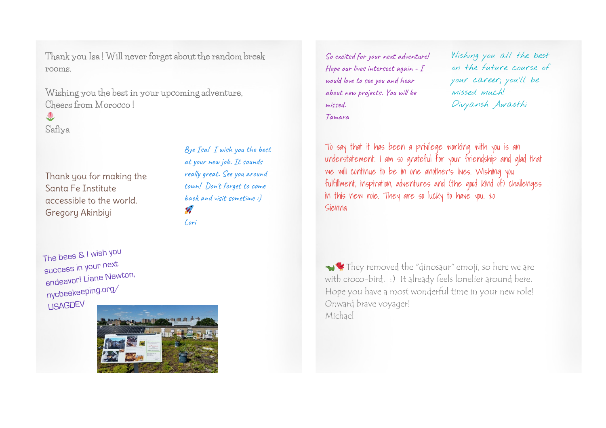**Thank you Isa ! Will never forget about the random break rooms.**

**Wishing you the best in your upcoming adventure, Cheers from Morocco !**

**Safiya**

Thank you for making the Santa Fe Institute accessible to the world. Gregory Akinbiyi

Bye Isa! I wish you the best at your new job. It sounds really great. See you around town! Don't forget to come back and visit sometime :)  $\mathbf{z}$ Lori

The bees & <sup>I</sup> wish you success in your next endeavor! Liane Newton, nycbeekeeping.org/ USAGDEV



So excited for your next adventure! Hope our lives intersect again - I would love to see you and hear about new projects. You will be missed. Tamara

Wishing you all the best on the future course of your career; you'll be missed much! Divyansh Awasthi

To say that it has been a privilege working with you is an understatement. I am so grateful for your friendship and glad that we will continue to be in one another's lives. Wishing you fulfillment, inspiration, adventures and (the good kind of) challenges in this new role. They are so lucky to have you. xo Sienna

They removed the "dinosaur" emoji, so here we are with croco-bird. :) It already feels lonelier around here. Hope you have a most wonderful time in your new role! Onward brave voyager! Michael